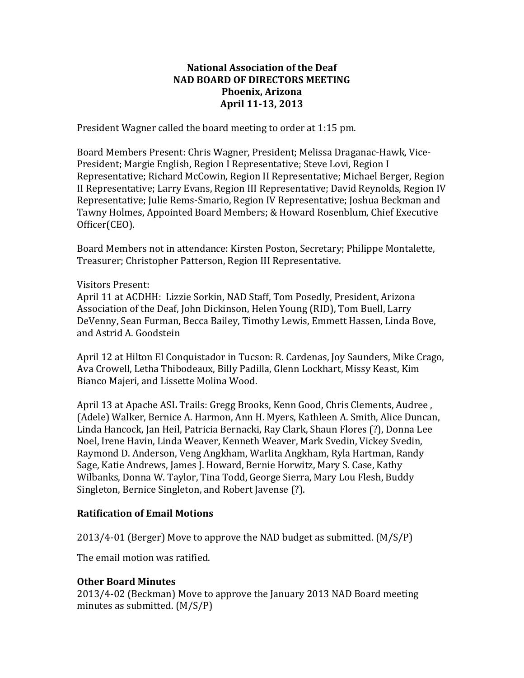### **National Association of the Deaf NAD BOARD OF DIRECTORS MEETING Phoenix, Arizona April 11-13, 2013**

President Wagner called the board meeting to order at 1:15 pm.

Board Members Present: Chris Wagner, President; Melissa Draganac-Hawk, Vice-President; Margie English, Region I Representative; Steve Lovi, Region I Representative; Richard McCowin, Region II Representative; Michael Berger, Region II Representative; Larry Evans, Region III Representative; David Reynolds, Region IV Representative; Julie Rems-Smario, Region IV Representative; Joshua Beckman and Tawny Holmes, Appointed Board Members; & Howard Rosenblum, Chief Executive Officer(CEO).

Board Members not in attendance: Kirsten Poston, Secretary; Philippe Montalette, Treasurer; Christopher Patterson, Region III Representative.

#### Visitors Present:

April 11 at ACDHH: Lizzie Sorkin, NAD Staff, Tom Posedly, President, Arizona Association of the Deaf, John Dickinson, Helen Young (RID), Tom Buell, Larry DeVenny, Sean Furman, Becca Bailey, Timothy Lewis, Emmett Hassen, Linda Bove, and Astrid A. Goodstein

April 12 at Hilton El Conquistador in Tucson: R. Cardenas, Joy Saunders, Mike Crago, Ava Crowell, Letha Thibodeaux, Billy Padilla, Glenn Lockhart, Missy Keast, Kim Bianco Majeri, and Lissette Molina Wood.

April 13 at Apache ASL Trails: Gregg Brooks, Kenn Good, Chris Clements, Audree, (Adele) Walker, Bernice A. Harmon, Ann H. Myers, Kathleen A. Smith, Alice Duncan, Linda Hancock, Jan Heil, Patricia Bernacki, Ray Clark, Shaun Flores (?), Donna Lee Noel, Irene Havin, Linda Weaver, Kenneth Weaver, Mark Svedin, Vickey Svedin, Raymond D. Anderson, Veng Angkham, Warlita Angkham, Ryla Hartman, Randy Sage, Katie Andrews, James J. Howard, Bernie Horwitz, Mary S. Case, Kathy Wilbanks, Donna W. Taylor, Tina Todd, George Sierra, Mary Lou Flesh, Buddy Singleton, Bernice Singleton, and Robert Javense (?).

### **Ratification of Email Motions**

 $2013/4-01$  (Berger) Move to approve the NAD budget as submitted.  $(M/S/P)$ 

The email motion was ratified.

### **Other Board Minutes**

2013/4-02 (Beckman) Move to approve the January 2013 NAD Board meeting minutes as submitted.  $(M/S/P)$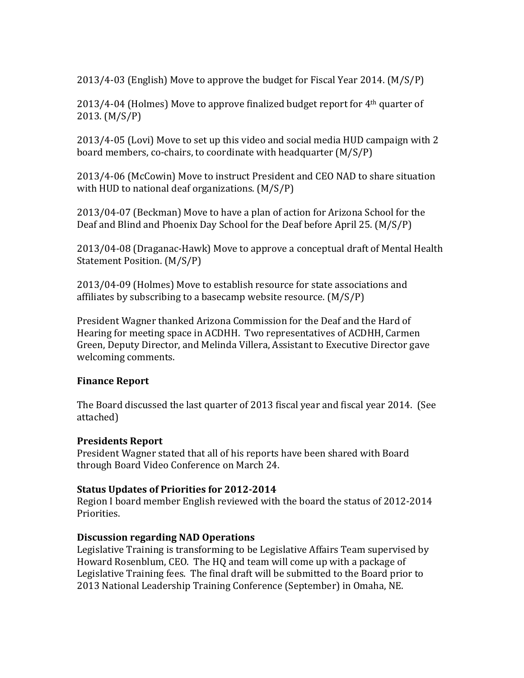$2013/4-03$  (English) Move to approve the budget for Fiscal Year 2014.  $(M/S/P)$ 

 $2013/4$ -04 (Holmes) Move to approve finalized budget report for  $4<sup>th</sup>$  quarter of 2013. (M/S/P)

 $2013/4-05$  (Lovi) Move to set up this video and social media HUD campaign with 2 board members, co-chairs, to coordinate with headquarter  $(M/S/P)$ 

2013/4-06 (McCowin) Move to instruct President and CEO NAD to share situation with HUD to national deaf organizations.  $(M/S/P)$ 

2013/04-07 (Beckman) Move to have a plan of action for Arizona School for the Deaf and Blind and Phoenix Day School for the Deaf before April 25. (M/S/P)

2013/04-08 (Draganac-Hawk) Move to approve a conceptual draft of Mental Health Statement Position. (M/S/P)

2013/04-09 (Holmes) Move to establish resource for state associations and affiliates by subscribing to a basecamp website resource.  $(M/S/P)$ 

President Wagner thanked Arizona Commission for the Deaf and the Hard of Hearing for meeting space in ACDHH. Two representatives of ACDHH, Carmen Green, Deputy Director, and Melinda Villera, Assistant to Executive Director gave welcoming comments.

### **Finance Report**

The Board discussed the last quarter of 2013 fiscal year and fiscal year 2014. (See attached)

### **Presidents Report**

President Wagner stated that all of his reports have been shared with Board through Board Video Conference on March 24.

### **Status Updates of Priorities for 2012-2014**

Region I board member English reviewed with the board the status of 2012-2014 Priorities.

### **Discussion regarding NAD Operations**

Legislative Training is transforming to be Legislative Affairs Team supervised by Howard Rosenblum, CEO. The HQ and team will come up with a package of Legislative Training fees. The final draft will be submitted to the Board prior to 2013 National Leadership Training Conference (September) in Omaha, NE.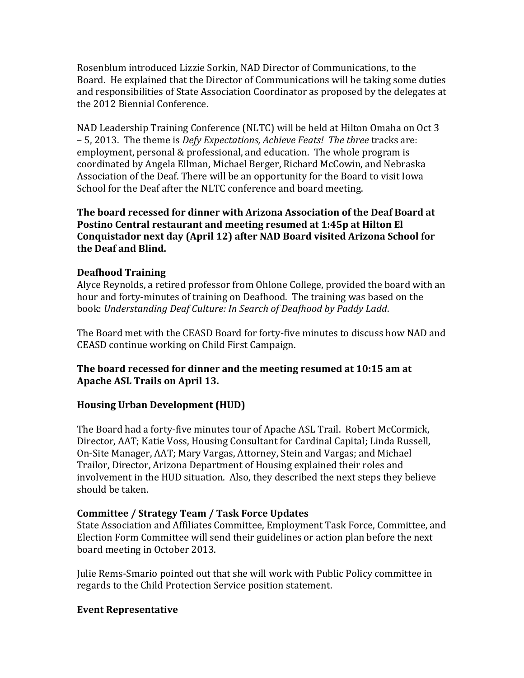Rosenblum introduced Lizzie Sorkin, NAD Director of Communications, to the Board. He explained that the Director of Communications will be taking some duties and responsibilities of State Association Coordinator as proposed by the delegates at the 2012 Biennial Conference.

NAD Leadership Training Conference (NLTC) will be held at Hilton Omaha on Oct 3  $-5$ , 2013. The theme is *Defy Expectations, Achieve Feats! The three* tracks are: employment, personal  $&$  professional, and education. The whole program is coordinated by Angela Ellman, Michael Berger, Richard McCowin, and Nebraska Association of the Deaf. There will be an opportunity for the Board to visit Iowa School for the Deaf after the NLTC conference and board meeting.

The board recessed for dinner with Arizona Association of the Deaf Board at **Postino Central restaurant and meeting resumed at 1:45p at Hilton El** Conquistador next day (April 12) after NAD Board visited Arizona School for **the Deaf and Blind.**

### **Deafhood Training**

Alyce Reynolds, a retired professor from Ohlone College, provided the board with an hour and forty-minutes of training on Deafhood. The training was based on the book: Understanding Deaf Culture: In Search of Deafhood by Paddy Ladd.

The Board met with the CEASD Board for forty-five minutes to discuss how NAD and CEASD continue working on Child First Campaign.

## **The board recessed for dinner and the meeting resumed at 10:15 am at** Apache ASL Trails on April 13.

# **Housing Urban Development (HUD)**

The Board had a forty-five minutes tour of Apache ASL Trail. Robert McCormick, Director, AAT; Katie Voss, Housing Consultant for Cardinal Capital; Linda Russell, On-Site Manager, AAT; Mary Vargas, Attorney, Stein and Vargas; and Michael Trailor, Director, Arizona Department of Housing explained their roles and involvement in the HUD situation. Also, they described the next steps they believe should be taken.

# **Committee / Strategy Team / Task Force Updates**

State Association and Affiliates Committee, Employment Task Force, Committee, and Election Form Committee will send their guidelines or action plan before the next board meeting in October 2013.

Julie Rems-Smario pointed out that she will work with Public Policy committee in regards to the Child Protection Service position statement.

### **Event Representative**